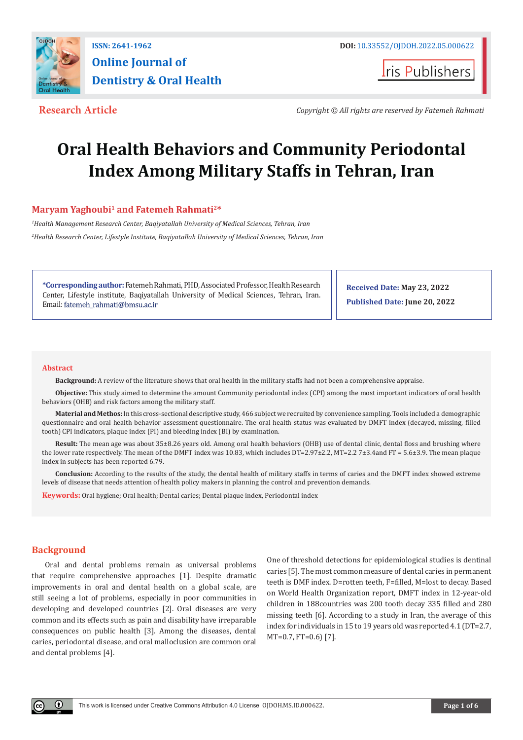

# **Online Journal of Dentistry & Oral Health**

**I**ris Publishers

**Research Article** *Copyright © All rights are reserved by Fatemeh Rahmati*

## **Oral Health Behaviors and Community Periodontal Index Among Military Staffs in Tehran, Iran**

### **Maryam Yaghoubi<sup>1</sup> and Fatemeh Rahmati<sup>2\*</sup>**

*1 Health Management Research Center, Baqiyatallah University of Medical Sciences, Tehran, Iran 2 Health Research Center, Lifestyle Institute, Baqiyatallah University of Medical Sciences, Tehran, Iran*

**\*Corresponding author:** Fatemeh Rahmati, PHD, Associated Professor, Health Research Center, Lifestyle institute, Baqiyatallah University of Medical Sciences, Tehran, Iran. Email: fatemeh\_rahmati@bmsu.ac.ir

**Received Date: May 23, 2022 Published Date: June 20, 2022**

#### **Abstract**

**Background:** A review of the literature shows that oral health in the military staffs had not been a comprehensive appraise.

**Objective:** This study aimed to determine the amount Community periodontal index (CPI) among the most important indicators of oral health behaviors (OHB) and risk factors among the military staff.

**Material and Methos:** In this cross-sectional descriptive study, 466 subject we recruited by convenience sampling. Tools included a demographic questionnaire and oral health behavior assessment questionnaire. The oral health status was evaluated by DMFT index (decayed, missing, filled tooth) CPI indicators, plaque index (PI) and bleeding index (BI) by examination.

**Result:** The mean age was about 35±8.26 years old. Among oral health behaviors (OHB) use of dental clinic, dental floss and brushing where the lower rate respectively. The mean of the DMFT index was 10.83, which includes DT=2.97±2.2, MT=2.2 7±3.4and FT = 5.6±3.9. The mean plaque index in subjects has been reported 6.79.

**Conclusion:** According to the results of the study, the dental health of military staffs in terms of caries and the DMFT index showed extreme levels of disease that needs attention of health policy makers in planning the control and prevention demands.

**Keywords:** Oral hygiene; Oral health; Dental caries; Dental plaque index, Periodontal index

#### **Background**

Oral and dental problems remain as universal problems that require comprehensive approaches [1]. Despite dramatic improvements in oral and dental health on a global scale, are still seeing a lot of problems, especially in poor communities in developing and developed countries [2]. Oral diseases are very common and its effects such as pain and disability have irreparable consequences on public health [3]. Among the diseases, dental caries, periodontal disease, and oral malloclusion are common oral and dental problems [4].

One of threshold detections for epidemiological studies is dentinal caries [5]. The most common measure of dental caries in permanent teeth is DMF index. D=rotten teeth, F=filled, M=lost to decay. Based on World Health Organization report, DMFT index in 12-year-old children in 188countries was 200 tooth decay 335 filled and 280 missing teeth [6]. According to a study in Iran, the average of this index for individuals in 15 to 19 years old was reported 4.1 (DT=2.7, MT=0.7, FT=0.6) [7].

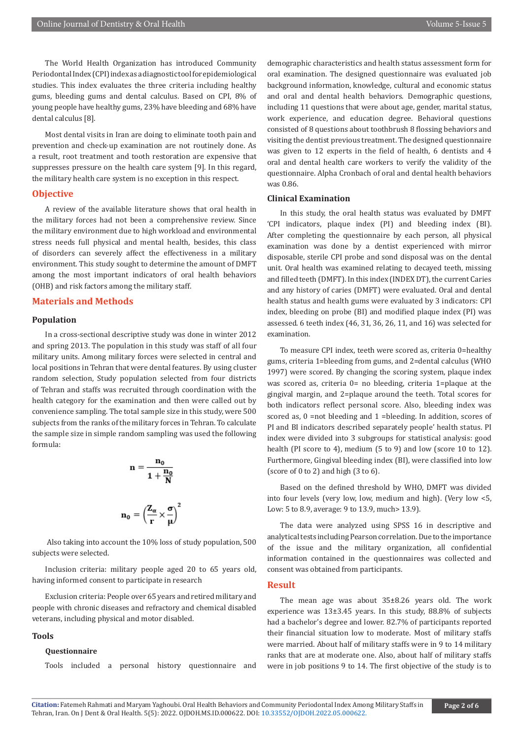The World Health Organization has introduced Community Periodontal Index (CPI) index as a diagnostic tool for epidemiological studies. This index evaluates the three criteria including healthy gums, bleeding gums and dental calculus. Based on CPI, 8% of young people have healthy gums, 23% have bleeding and 68% have dental calculus [8].

Most dental visits in Iran are doing to eliminate tooth pain and prevention and check-up examination are not routinely done. As a result, root treatment and tooth restoration are expensive that suppresses pressure on the health care system [9]. In this regard, the military health care system is no exception in this respect.

#### **Objective**

A review of the available literature shows that oral health in the military forces had not been a comprehensive review. Since the military environment due to high workload and environmental stress needs full physical and mental health, besides, this class of disorders can severely affect the effectiveness in a military environment. This study sought to determine the amount of DMFT among the most important indicators of oral health behaviors (OHB) and risk factors among the military staff.

#### **Materials and Methods**

#### **Population**

In a cross-sectional descriptive study was done in winter 2012 and spring 2013. The population in this study was staff of all four military units. Among military forces were selected in central and local positions in Tehran that were dental features. By using cluster random selection, Study population selected from four districts of Tehran and staffs was recruited through coordination with the health category for the examination and then were called out by convenience sampling. The total sample size in this study, were 500 subjects from the ranks of the military forces in Tehran. To calculate the sample size in simple random sampling was used the following formula:

$$
n = \frac{n_0}{1 + \frac{n_0}{N}}
$$

$$
n_0 = \left(\frac{Z_{\alpha}}{r} \times \frac{\sigma}{\mu}\right)^2
$$

 Also taking into account the 10% loss of study population, 500 subjects were selected.

Inclusion criteria: military people aged 20 to 65 years old, having informed consent to participate in research

Exclusion criteria: People over 65 years and retired military and people with chronic diseases and refractory and chemical disabled veterans, including physical and motor disabled.

#### **Tools**

#### **Questionnaire**

Tools included a personal history questionnaire and

demographic characteristics and health status assessment form for oral examination. The designed questionnaire was evaluated job background information, knowledge, cultural and economic status and oral and dental health behaviors. Demographic questions, including 11 questions that were about age, gender, marital status, work experience, and education degree. Behavioral questions consisted of 8 questions about toothbrush 8 flossing behaviors and visiting the dentist previous treatment. The designed questionnaire was given to 12 experts in the field of health, 6 dentists and 4 oral and dental health care workers to verify the validity of the questionnaire. Alpha Cronbach of oral and dental health behaviors was 0.86.

#### **Clinical Examination**

In this study, the oral health status was evaluated by DMFT 'CPI indicators, plaque index (PI) and bleeding index (BI). After completing the questionnaire by each person, all physical examination was done by a dentist experienced with mirror disposable, sterile CPI probe and sond disposal was on the dental unit. Oral health was examined relating to decayed teeth, missing and filled teeth (DMFT). In this index (INDEX DT), the current Caries and any history of caries (DMFT) were evaluated. Oral and dental health status and health gums were evaluated by 3 indicators: CPI index, bleeding on probe (BI) and modified plaque index (PI) was assessed. 6 teeth index (46, 31, 36, 26, 11, and 16) was selected for examination.

To measure CPI index, teeth were scored as, criteria 0=healthy gums, criteria 1=bleeding from gums, and 2=dental calculus (WHO 1997) were scored. By changing the scoring system, plaque index was scored as, criteria 0= no bleeding, criteria 1=plaque at the gingival margin, and 2=plaque around the teeth. Total scores for both indicators reflect personal score. Also, bleeding index was scored as, 0 =not bleeding and 1 =bleeding. In addition, scores of PI and BI indicators described separately people' health status. PI index were divided into 3 subgroups for statistical analysis: good health (PI score to 4), medium (5 to 9) and low (score 10 to 12). Furthermore, Gingival bleeding index (BI), were classified into low (score of 0 to 2) and high  $(3 \text{ to } 6)$ .

Based on the defined threshold by WHO, DMFT was divided into four levels (very low, low, medium and high). (Very low <5, Low: 5 to 8.9, average: 9 to 13.9, much> 13.9).

The data were analyzed using SPSS 16 in descriptive and analytical tests including Pearson correlation. Due to the importance of the issue and the military organization, all confidential information contained in the questionnaires was collected and consent was obtained from participants.

#### **Result**

The mean age was about 35±8.26 years old. The work experience was 13±3.45 years. In this study, 88.8% of subjects had a bachelor's degree and lower. 82.7% of participants reported their financial situation low to moderate. Most of military staffs were married. About half of military staffs were in 9 to 14 military ranks that are at moderate one. Also, about half of military staffs were in job positions 9 to 14. The first objective of the study is to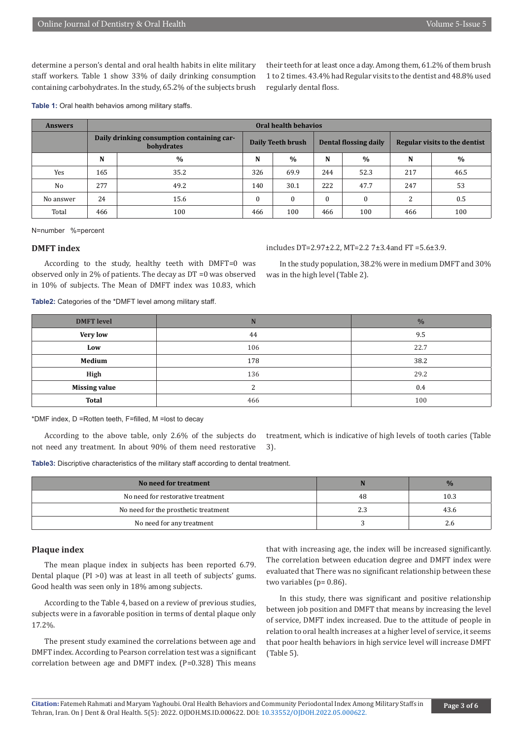determine a person's dental and oral health habits in elite military staff workers. Table 1 show 33% of daily drinking consumption containing carbohydrates. In the study, 65.2% of the subjects brush their teeth for at least once a day. Among them, 61.2% of them brush 1 to 2 times. 43.4% had Regular visits to the dentist and 48.8% used regularly dental floss.

**Table 1:** Oral health behavios among military staffs.

| <b>Answers</b> | <b>Oral health behavios</b>                              |      |                   |              |                       |              |                               |      |
|----------------|----------------------------------------------------------|------|-------------------|--------------|-----------------------|--------------|-------------------------------|------|
|                | Daily drinking consumption containing car-<br>bohydrates |      | Daily Teeth brush |              | Dental flossing daily |              | Regular visits to the dentist |      |
|                | N                                                        | $\%$ | N                 | $\%$         | N                     | $\%$         | N                             | $\%$ |
| Yes            | 165                                                      | 35.2 | 326               | 69.9         | 244                   | 52.3         | 217                           | 46.5 |
| No             | 277                                                      | 49.2 | 140               | 30.1         | 222                   | 47.7         | 247                           | 53   |
| No answer      | 24                                                       | 15.6 | $\theta$          | $\mathbf{0}$ | $\mathbf{0}$          | $\mathbf{0}$ | 2                             | 0.5  |
| Total          | 466                                                      | 100  | 466               | 100          | 466                   | 100          | 466                           | 100  |

N=number %=percent

#### **DMFT index**

According to the study, healthy teeth with DMFT=0 was observed only in 2% of patients. The decay as DT =0 was observed in 10% of subjects. The Mean of DMFT index was 10.83, which

includes DT=2.97±2.2, MT=2.2 7±3.4and FT =5.6±3.9.

In the study population, 38.2% were in medium DMFT and 30% was in the high level (Table 2).

**Table2:** Categories of the \*DMFT level among military staff.

| <b>DMFT</b> level    | N      | $\frac{0}{0}$ |
|----------------------|--------|---------------|
| <b>Very low</b>      | 44     | 9.5           |
| Low                  | 106    | 22.7          |
| Medium               | 178    | 38.2          |
| High                 | 136    | 29.2          |
| <b>Missing value</b> | っ<br>▵ | 0.4           |
| <b>Total</b>         | 466    | 100           |

\*DMF index, D =Rotten teeth, F=filled, M =lost to decay

According to the above table, only 2.6% of the subjects do not need any treatment. In about 90% of them need restorative treatment, which is indicative of high levels of tooth caries (Table 3).

**Table3:** Discriptive characteristics of the military staff according to dental treatment.

| No need for treatment                |      | $\frac{9}{6}$ |
|--------------------------------------|------|---------------|
| No need for restorative treatment    | 48   | 10.3          |
| No need for the prosthetic treatment | نبيط | 43.6          |
| No need for any treatment            |      | z.o           |

#### **Plaque index**

The mean plaque index in subjects has been reported 6.79. Dental plaque (PI >0) was at least in all teeth of subjects' gums. Good health was seen only in 18% among subjects.

According to the Table 4, based on a review of previous studies, subjects were in a favorable position in terms of dental plaque only 17.2%.

The present study examined the correlations between age and DMFT index. According to Pearson correlation test was a significant correlation between age and DMFT index. (P=0.328) This means

that with increasing age, the index will be increased significantly. The correlation between education degree and DMFT index were evaluated that There was no significant relationship between these two variables (p= 0.86).

In this study, there was significant and positive relationship between job position and DMFT that means by increasing the level of service, DMFT index increased. Due to the attitude of people in relation to oral health increases at a higher level of service, it seems that poor health behaviors in high service level will increase DMFT (Table 5).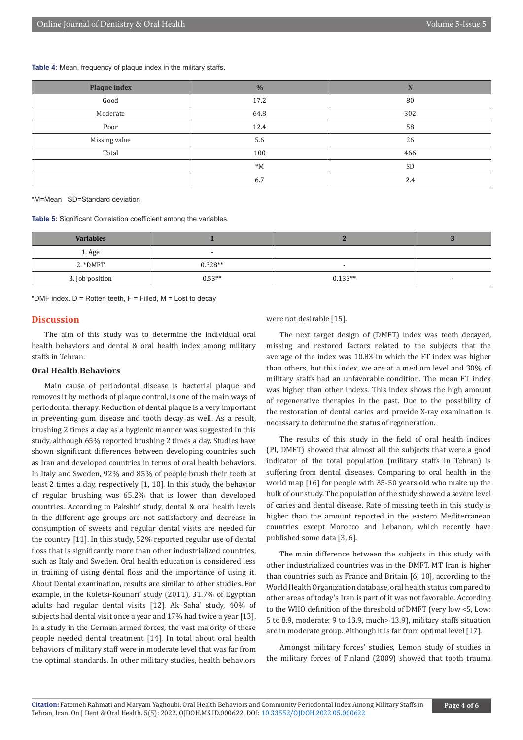**Table 4:** Mean, frequency of plaque index in the military staffs.

| Plaque index  | $\frac{0}{6}$ | N         |
|---------------|---------------|-----------|
| Good          | 17.2          | 80        |
| Moderate      | 64.8          | 302       |
| Poor          | 12.4          | 58        |
| Missing value | 5.6           | 26        |
| Total         | 100           | 466       |
|               | $^*M$         | <b>SD</b> |
|               | 6.7           | 2.4       |

\*M=Mean SD=Standard deviation

**Table 5:** Significant Correlation coefficient among the variables.

| <b>Variables</b> |           |           |                          |
|------------------|-----------|-----------|--------------------------|
| 1. Age           |           |           |                          |
| $2.*$ DMFT       | $0.328**$ |           |                          |
| 3. Job position  | $0.53**$  | $0.133**$ | $\overline{\phantom{a}}$ |

\*DMF index.  $D =$  Rotten teeth,  $F =$  Filled, M = Lost to decay

#### **Discussion**

The aim of this study was to determine the individual oral health behaviors and dental & oral health index among military staffs in Tehran.

#### **Oral Health Behaviors**

Main cause of periodontal disease is bacterial plaque and removes it by methods of plaque control, is one of the main ways of periodontal therapy. Reduction of dental plaque is a very important in preventing gum disease and tooth decay as well. As a result, brushing 2 times a day as a hygienic manner was suggested in this study, although 65% reported brushing 2 times a day. Studies have shown significant differences between developing countries such as Iran and developed countries in terms of oral health behaviors. In Italy and Sweden, 92% and 85% of people brush their teeth at least 2 times a day, respectively [1, 10]. In this study, the behavior of regular brushing was 65.2% that is lower than developed countries. According to Pakshir' study, dental & oral health levels in the different age groups are not satisfactory and decrease in consumption of sweets and regular dental visits are needed for the country [11]. In this study, 52% reported regular use of dental floss that is significantly more than other industrialized countries, such as Italy and Sweden. Oral health education is considered less in training of using dental floss and the importance of using it. About Dental examination, results are similar to other studies. For example, in the Koletsi-Kounari' study (2011), 31.7% of Egyptian adults had regular dental visits [12]. Ak Saha' study, 40% of subjects had dental visit once a year and 17% had twice a year [13]. In a study in the German armed forces, the vast majority of these people needed dental treatment [14]. In total about oral health behaviors of military staff were in moderate level that was far from the optimal standards. In other military studies, health behaviors

were not desirable [15].

The next target design of (DMFT) index was teeth decayed, missing and restored factors related to the subjects that the average of the index was 10.83 in which the FT index was higher than others, but this index, we are at a medium level and 30% of military staffs had an unfavorable condition. The mean FT index was higher than other indexs. This index shows the high amount of regenerative therapies in the past. Due to the possibility of the restoration of dental caries and provide X-ray examination is necessary to determine the status of regeneration.

The results of this study in the field of oral health indices (PI, DMFT) showed that almost all the subjects that were a good indicator of the total population (military staffs in Tehran) is suffering from dental diseases. Comparing to oral health in the world map [16] for people with 35-50 years old who make up the bulk of our study. The population of the study showed a severe level of caries and dental disease. Rate of missing teeth in this study is higher than the amount reported in the eastern Mediterranean countries except Morocco and Lebanon, which recently have published some data [3, 6].

The main difference between the subjects in this study with other industrialized countries was in the DMFT. MT Iran is higher than countries such as France and Britain [6, 10], according to the World Health Organization database, oral health status compared to other areas of today's Iran is part of it was not favorable. According to the WHO definition of the threshold of DMFT (very low <5, Low: 5 to 8.9, moderate: 9 to 13.9, much> 13.9), military staffs situation are in moderate group. Although it is far from optimal level [17].

Amongst military forces' studies, Lemon study of studies in the military forces of Finland (2009) showed that tooth trauma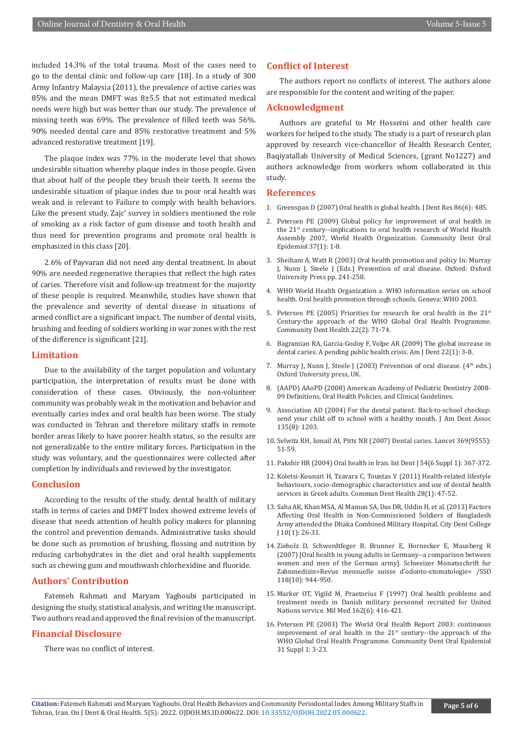included 14.3% of the total trauma. Most of the cases need to go to the dental clinic and follow-up care [18]. In a study of 300 Army Infantry Malaysia (2011), the prevalence of active caries was 85% and the mean DMFT was 8±5.5 that not estimated medical needs were high but was better than our study. The prevalence of missing teeth was 69%. The prevalence of filled teeth was 56%. 90% needed dental care and 85% restorative treatment and 5% advanced restorative treatment [19].

The plaque index was 77% in the moderate level that shows undesirable situation whereby plaque index in those people. Given that about half of the people they brush their teeth. It seems the undesirable situation of plaque index due to poor oral health was weak and is relevant to Failure to comply with health behaviors. Like the present study, Zajc' survey in soldiers mentioned the role of smoking as a risk factor of gum disease and tooth health and thus need for prevention programs and promote oral health is emphasized in this class [20].

2.6% of Payvaran did not need any dental treatment. In about 90% are needed regenerative therapies that reflect the high rates of caries. Therefore visit and follow-up treatment for the majority of these people is required. Meanwhile, studies have shown that the prevalence and severity of dental disease in situations of armed conflict are a significant impact. The number of dental visits, brushing and feeding of soldiers working in war zones with the rest of the difference is significant [21].

#### **Limitation**

Due to the availability of the target population and voluntary participation, the interpretation of results must be done with consideration of these cases. Obviously, the non-volunteer community was probably weak in the motivation and behavior and eventually caries index and oral health has been worse. The study was conducted in Tehran and therefore military staffs in remote border areas likely to have poorer health status, so the results are not generalizable to the entire military forces. Participation in the study was voluntary, and the questionnaires were collected after completion by individuals and reviewed by the investigator.

#### **Conclusion**

According to the results of the study, dental health of military staffs in terms of caries and DMFT Index showed extreme levels of disease that needs attention of health policy makers for planning the control and prevention demands. Administrative tasks should be done such as promotion of brushing, flossing and nutrition by reducing carbohydrates in the diet and oral health supplements such as chewing gum and mouthwash chlorhexidine and fluoride.

#### **Authors' Contribution**

Fatemeh Rahmati and Maryam Yaghoubi participated in designing the study, statistical analysis, and writing the manuscript. Two authors read and approved the final revision of the manuscript.

#### **Financial Disclosure**

There was no conflict of interest.

#### **Conflict of Interest**

The authors report no conflicts of interest. The authors alone are responsible for the content and writing of the paper.

#### **Acknowledgment**

Authors are grateful to Mr Hosseini and other health care workers for helped to the study. The study is a part of research plan approved by research vice-chancellor of Health Research Center, Baqiyatallah University of Medical Sciences, (grant No1227) and authors acknowledge from workers whom collaborated in this study.

#### **References**

- 1. [Greenspan D \(2007\) Oral health is global health. J Dent Res 86\(6\): 485.](https://pubmed.ncbi.nlm.nih.gov/17525345/)
- 2. [Petersen PE \(2009\) Global policy for improvement of oral health in](https://pubmed.ncbi.nlm.nih.gov/19046331/) [the 21st century--implications to oral health research of World Health](https://pubmed.ncbi.nlm.nih.gov/19046331/) [Assembly 2007, World Health Organization. Community Dent Oral](https://pubmed.ncbi.nlm.nih.gov/19046331/) [Epidemiol 37\(1\): 1-8.](https://pubmed.ncbi.nlm.nih.gov/19046331/)
- 3. Sheiham A, Watt R (2003) Oral health promotion and policy In: Murray J, Nunn J, Steele J (Eds.) Prevention of oral disease. Oxford: Oxford University Press pp. 241-258.
- 4. WHO World Health Organization a. WHO information series on school health. Oral health promotion through schools. Geneva: WHO 2003.
- 5. Petersen PE (2005) Priorities for research for oral health in the  $21<sup>st</sup>$ [Century-the approach of the WHO Global Oral Health Programme.](https://pubmed.ncbi.nlm.nih.gov/15984131/) [Community Dent Health 22\(2\): 71-74.](https://pubmed.ncbi.nlm.nih.gov/15984131/)
- 6. Bagramian RA, Garcia-Godoy F, Volpe AR (2009) The global increase in dental caries. A pending public health crisis. Am J Dent 22(1): 3-8.
- 7. Murray J, Nunn J, Steele J (2003) Prevention of oral disease. (4<sup>th</sup> edn.) Oxford University press, UK.
- 8. [\(AAPD\) AAoPD \(2008\) American Academy of Pediatric Dentistry 2008-](https://www.aapd.org/research/oral-health-policies--recommendations/) [09 Definitions, Oral Health Policies, and Clinical Guidelines.](https://www.aapd.org/research/oral-health-policies--recommendations/)
- 9. Association AD (2004) For the dental patient. Back-to-school checkup: send your child off to school with a healthy mouth. J Am Dent Assoc 135(8): 1203.
- 10. [Selwitz RH, Ismail AI, Pitts NB \(2007\) Dental caries. Lancet 369\(9555\):](https://pubmed.ncbi.nlm.nih.gov/17208642/) [51-59.](https://pubmed.ncbi.nlm.nih.gov/17208642/)
- 11. [Pakshir HR \(2004\) Oral health in Iran. Int Dent J 54\(6 Suppl 1\): 367-372.](https://pubmed.ncbi.nlm.nih.gov/15631098/)
- 12. [Koletsi-Kounari H, Tzavara C, Tountas Y \(2011\) Health-related lifestyle](https://pubmed.ncbi.nlm.nih.gov/21485234/) [behaviours, socio-demographic characteristics and use of dental health](https://pubmed.ncbi.nlm.nih.gov/21485234/) [services in Greek adults. Commun Dent Health 28\(1\): 47-52.](https://pubmed.ncbi.nlm.nih.gov/21485234/)
- 13. Saha AK, Khan MSA, Al Mamun SA, Das DR, Uddin H, et al. (2013) Factors Affecting Oral Health in Non-Commissioned Soldiers of Bangladesh Army attended the Dhaka Combined Military Hospital. City Dent College J 10(1): 26-31.
- 14. Ziebolz D, Schwerdtfeger B, Brunner E, Hornecker E, Mausberg R (2007) [Oral health in young adults in Germany--a comparison between women and men of the German army]. Schweizer Monatsschrift fur Zahnmedizin=Revue mensuelle suisse d'odonto-stomatologie= /SSO 118(10): 944-950.
- 15. [Marker OT, Vigild M, Praetorius F \(1997\) Oral health problems and](https://pubmed.ncbi.nlm.nih.gov/9183165/) [treatment needs in Danish military personnel recruited for United](https://pubmed.ncbi.nlm.nih.gov/9183165/) [Nations service. Mil Med 162\(6\): 416-421.](https://pubmed.ncbi.nlm.nih.gov/9183165/)
- 16. [Petersen PE \(2003\) The World Oral Health Report 2003: continuous](https://pubmed.ncbi.nlm.nih.gov/15015736/) improvement of oral health in the  $21<sup>st</sup>$  century--the approach of the [WHO Global Oral Health Programme. Community Dent Oral Epidemiol](https://pubmed.ncbi.nlm.nih.gov/15015736/) [31 Suppl 1: 3-23.](https://pubmed.ncbi.nlm.nih.gov/15015736/)